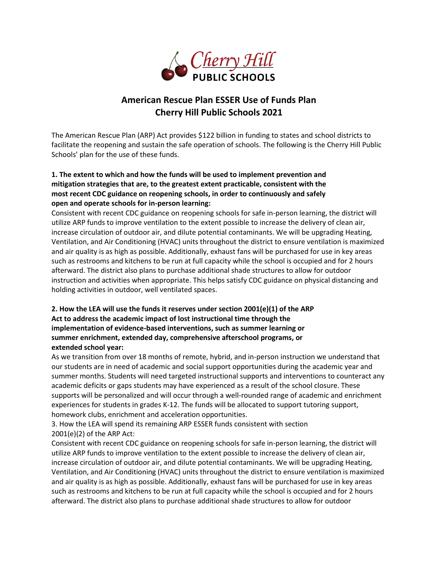

## **American Rescue Plan ESSER Use of Funds Plan Cherry Hill Public Schools 2021**

The American Rescue Plan (ARP) Act provides \$122 billion in funding to states and school districts to facilitate the reopening and sustain the safe operation of schools. The following is the Cherry Hill Public Schools' plan for the use of these funds.

## **1. The extent to which and how the funds will be used to implement prevention and mitigation strategies that are, to the greatest extent practicable, consistent with the most recent CDC guidance on reopening schools, in order to continuously and safely open and operate schools for in-person learning:**

Consistent with recent CDC guidance on reopening schools for safe in-person learning, the district will utilize ARP funds to improve ventilation to the extent possible to increase the delivery of clean air, increase circulation of outdoor air, and dilute potential contaminants. We will be upgrading Heating, Ventilation, and Air Conditioning (HVAC) units throughout the district to ensure ventilation is maximized and air quality is as high as possible. Additionally, exhaust fans will be purchased for use in key areas such as restrooms and kitchens to be run at full capacity while the school is occupied and for 2 hours afterward. The district also plans to purchase additional shade structures to allow for outdoor instruction and activities when appropriate. This helps satisfy CDC guidance on physical distancing and holding activities in outdoor, well ventilated spaces.

## **2. How the LEA will use the funds it reserves under section 2001(e)(1) of the ARP Act to address the academic impact of lost instructional time through the implementation of evidence-based interventions, such as summer learning or summer enrichment, extended day, comprehensive afterschool programs, or extended school year:**

As we transition from over 18 months of remote, hybrid, and in-person instruction we understand that our students are in need of academic and social support opportunities during the academic year and summer months. Students will need targeted instructional supports and interventions to counteract any academic deficits or gaps students may have experienced as a result of the school closure. These supports will be personalized and will occur through a well-rounded range of academic and enrichment experiences for students in grades K-12. The funds will be allocated to support tutoring support, homework clubs, enrichment and acceleration opportunities.

3. How the LEA will spend its remaining ARP ESSER funds consistent with section 2001(e)(2) of the ARP Act:

Consistent with recent CDC guidance on reopening schools for safe in-person learning, the district will utilize ARP funds to improve ventilation to the extent possible to increase the delivery of clean air, increase circulation of outdoor air, and dilute potential contaminants. We will be upgrading Heating, Ventilation, and Air Conditioning (HVAC) units throughout the district to ensure ventilation is maximized and air quality is as high as possible. Additionally, exhaust fans will be purchased for use in key areas such as restrooms and kitchens to be run at full capacity while the school is occupied and for 2 hours afterward. The district also plans to purchase additional shade structures to allow for outdoor